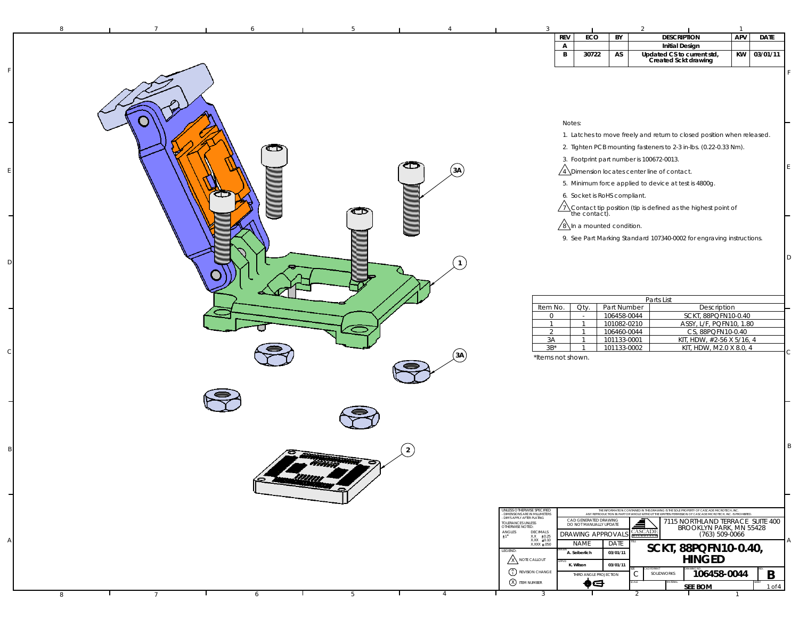| $\mathsf{R}$ |                 |   |        |      |                                                                                           |                   |                                                 |                            | $\mathcal{P}$                                                                                                                                                                                          | -1        |             |    |
|--------------|-----------------|---|--------|------|-------------------------------------------------------------------------------------------|-------------------|-------------------------------------------------|----------------------------|--------------------------------------------------------------------------------------------------------------------------------------------------------------------------------------------------------|-----------|-------------|----|
|              |                 |   |        |      |                                                                                           | <b>REV</b>        | ECO                                             | BY                         | <b>DESCRIPTION</b>                                                                                                                                                                                     | APV       | <b>DATE</b> |    |
|              |                 |   |        |      |                                                                                           | A<br>$\mathbf{B}$ | 30722                                           | AS                         | <b>Initial Design</b>                                                                                                                                                                                  | <b>KW</b> | 03/01/11    |    |
|              |                 |   |        |      |                                                                                           |                   |                                                 |                            | Updated CS to current std,<br>Created Sckt drawing                                                                                                                                                     |           |             |    |
|              |                 |   |        |      |                                                                                           |                   |                                                 |                            |                                                                                                                                                                                                        |           |             |    |
|              |                 |   |        |      |                                                                                           |                   |                                                 |                            |                                                                                                                                                                                                        |           |             |    |
|              |                 |   |        |      |                                                                                           |                   |                                                 |                            |                                                                                                                                                                                                        |           |             |    |
|              |                 |   |        |      |                                                                                           |                   |                                                 |                            |                                                                                                                                                                                                        |           |             |    |
|              |                 |   |        |      |                                                                                           |                   |                                                 |                            |                                                                                                                                                                                                        |           |             |    |
|              |                 |   |        |      |                                                                                           | Notes:            |                                                 |                            |                                                                                                                                                                                                        |           |             |    |
|              |                 |   |        |      |                                                                                           |                   |                                                 |                            | 1. Latches to move freely and return to closed position when released.                                                                                                                                 |           |             |    |
|              |                 | œ |        |      |                                                                                           |                   |                                                 |                            | 2. Tighten PCB mounting fasteners to 2-3 in-lbs. (0.22-0.33 Nm).                                                                                                                                       |           |             |    |
|              |                 |   |        |      |                                                                                           |                   |                                                 |                            | 3. Footprint part number is 100672-0013.                                                                                                                                                               |           |             |    |
|              |                 |   |        | (3A) |                                                                                           |                   |                                                 |                            | $\sqrt{4}$ Dimension locates center line of contact.                                                                                                                                                   |           |             |    |
|              |                 |   |        |      |                                                                                           |                   |                                                 |                            | 5. Minimum force applied to device at test is 4800g.                                                                                                                                                   |           |             |    |
|              |                 |   |        |      |                                                                                           |                   | 6. Socket is RoHS compliant.                    |                            |                                                                                                                                                                                                        |           |             |    |
|              |                 |   | Œ      |      |                                                                                           |                   |                                                 |                            | $\sqrt{1}$ Contact tip position (tip is defined as the highest point of the contact).                                                                                                                  |           |             |    |
|              |                 |   |        |      |                                                                                           |                   |                                                 |                            |                                                                                                                                                                                                        |           |             |    |
|              |                 |   |        |      |                                                                                           |                   | $\sqrt{8}$ In a mounted condition.              |                            |                                                                                                                                                                                                        |           |             |    |
|              |                 |   |        |      |                                                                                           |                   |                                                 |                            | 9. See Part Marking Standard 107340-0002 for engraving instructions.                                                                                                                                   |           |             |    |
|              |                 |   |        |      |                                                                                           |                   |                                                 |                            |                                                                                                                                                                                                        |           |             | D  |
|              |                 |   |        |      |                                                                                           |                   |                                                 |                            |                                                                                                                                                                                                        |           |             |    |
|              |                 |   |        |      |                                                                                           |                   |                                                 |                            |                                                                                                                                                                                                        |           |             |    |
|              |                 |   |        |      |                                                                                           |                   |                                                 |                            |                                                                                                                                                                                                        |           |             |    |
|              |                 |   |        |      |                                                                                           |                   |                                                 |                            | Parts List                                                                                                                                                                                             |           |             |    |
|              |                 |   |        |      | Item No.                                                                                  |                   | Qty.                                            | Part Number                | Description                                                                                                                                                                                            |           |             |    |
|              |                 |   |        |      | $\overline{0}$<br>$\mathbf{1}$                                                            |                   | $\sim$<br>$\overline{1}$                        | 106458-0044<br>101082-0210 | SCKT, 88PQFN10-0.40<br>ASSY, L/F, PQFN10, 1.80                                                                                                                                                         |           |             |    |
|              |                 |   |        |      | 2                                                                                         |                   | $\mathbf{1}$                                    | 106460-0044                | CS, 88PQFN10-0.40                                                                                                                                                                                      |           |             |    |
|              |                 |   |        |      | 3A<br>$3B^*$                                                                              |                   | $\overline{1}$                                  | 101133-0001<br>101133-0002 | KIT, HDW, #2-56 X 5/16, 4<br>KIT, HDW, M2.0 X 8.0, 4                                                                                                                                                   |           |             |    |
|              |                 |   |        | (3A) | *Items not shown.                                                                         |                   |                                                 |                            |                                                                                                                                                                                                        |           |             | C. |
|              |                 |   |        |      |                                                                                           |                   |                                                 |                            |                                                                                                                                                                                                        |           |             |    |
|              |                 |   |        |      |                                                                                           |                   |                                                 |                            |                                                                                                                                                                                                        |           |             |    |
|              |                 |   |        |      |                                                                                           |                   |                                                 |                            |                                                                                                                                                                                                        |           |             |    |
|              |                 |   |        |      |                                                                                           |                   |                                                 |                            |                                                                                                                                                                                                        |           |             |    |
|              |                 |   |        |      |                                                                                           |                   |                                                 |                            |                                                                                                                                                                                                        |           |             |    |
|              |                 |   |        |      |                                                                                           |                   |                                                 |                            |                                                                                                                                                                                                        |           |             |    |
|              |                 |   |        |      |                                                                                           |                   |                                                 |                            |                                                                                                                                                                                                        |           |             |    |
|              |                 |   |        |      |                                                                                           |                   |                                                 |                            |                                                                                                                                                                                                        |           |             | B  |
|              |                 |   |        |      |                                                                                           |                   |                                                 |                            |                                                                                                                                                                                                        |           |             |    |
|              |                 |   |        |      |                                                                                           |                   |                                                 |                            |                                                                                                                                                                                                        |           |             |    |
|              |                 |   | Junur- |      |                                                                                           |                   |                                                 |                            |                                                                                                                                                                                                        |           |             |    |
|              |                 |   |        |      |                                                                                           |                   |                                                 |                            |                                                                                                                                                                                                        |           |             |    |
|              |                 |   |        |      |                                                                                           |                   |                                                 |                            |                                                                                                                                                                                                        |           |             |    |
|              |                 |   |        |      | UNLESS OTHERWISE SPECIFIED<br>- DIMENSIONS ARE IN MILLIMETERS<br>DIMS APPLY AFTER PLATING |                   |                                                 |                            | THE INFORMATION CONTAINED IN THIS DRAWING IS THE SOLE PROPERTY OF CASCADE MICROTECH, INC.<br>ANY REPRODUCTION IN PART OR WHOLE WITHOUT THE WRITTEN PERMISSION OF CASCADE MICROTECH, INC. IS PROHIBITED |           |             |    |
|              |                 |   |        |      | TOLERANCES UNLESS<br>OTHERWISE NOTED:<br>DECIMALS                                         |                   | CAD GENERATED DRAWING<br>DO NOT MANUALLY UPDATE |                            | ā<br>7115 NORTHLAND TERRACE SUITE 400<br>BROOKLYN PARK, MN 55428<br>CASCADI                                                                                                                            |           |             |    |
|              |                 |   |        |      | $\begin{array}{ll}\n\text{ANGLES} \\ \pm 1\n\end{array}$<br>$XX = 20.25$<br>$XXX = 0.10$  |                   | <b>DRAWING APPROVAL</b>                         |                            | $(763) 509 - 0066$                                                                                                                                                                                     |           |             | А  |
|              |                 |   |        |      | XXXX ±.050<br>LEGEND:                                                                     |                   | <b>NAME</b><br>A. Seiberlich                    | DATE<br>03/01/11           | SCKT, 88PQFN10-0.40,                                                                                                                                                                                   |           |             |    |
|              |                 |   |        |      | A NOTE CALLOUT                                                                            |                   | K. Wilson                                       | 03/01/11                   | <b>HINGED</b>                                                                                                                                                                                          |           |             |    |
|              |                 |   |        |      | $\begin{pmatrix} A \\ 1 \end{pmatrix}$ REVISION CHANGE                                    |                   | THIRD ANGLE PROJECTION                          |                            | 106458-0044<br>SOLIDWORKS<br>C                                                                                                                                                                         |           | B           |    |
|              |                 |   |        |      | <b>8</b> ITEM NUMBER                                                                      |                   | ♦⋳                                              |                            | <b>SEE BOM</b>                                                                                                                                                                                         |           | $1$ of $4$  |    |
| 8            | $7\overline{ }$ | 6 | 5      |      | 3                                                                                         |                   |                                                 |                            | 2                                                                                                                                                                                                      |           |             |    |

F

E

D

 $\epsilon$ 

B

A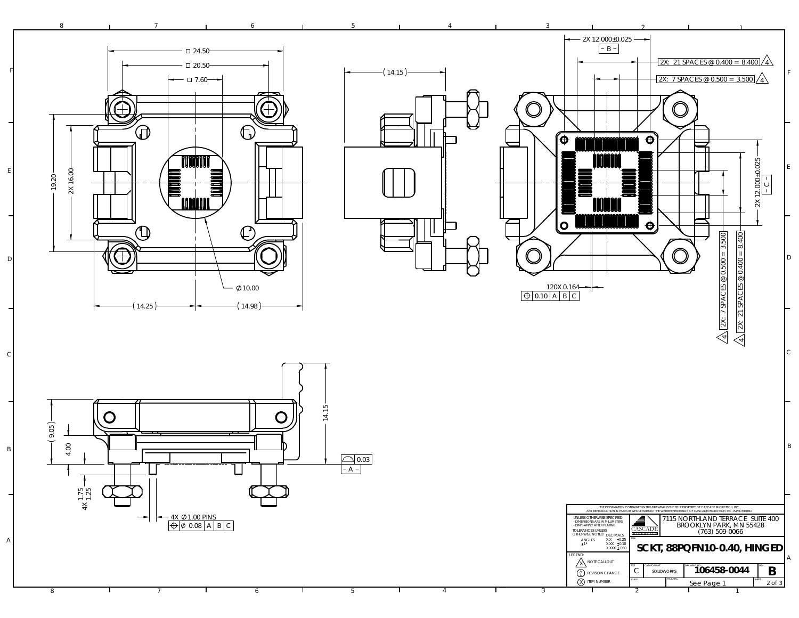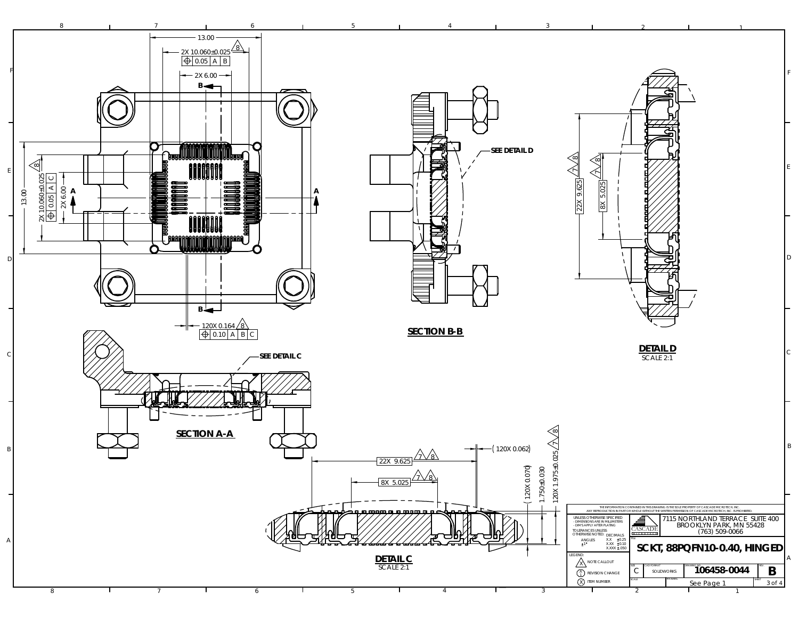